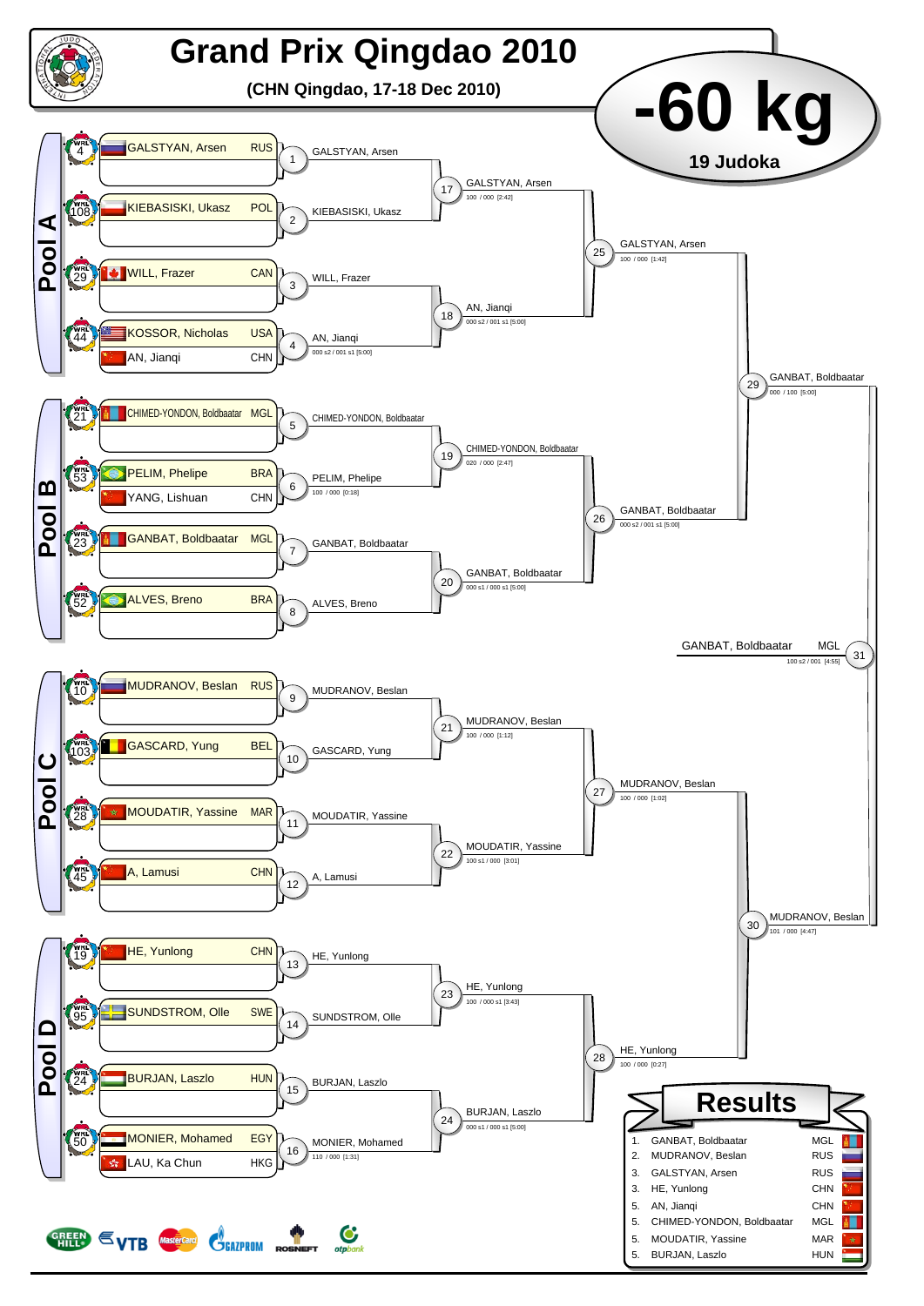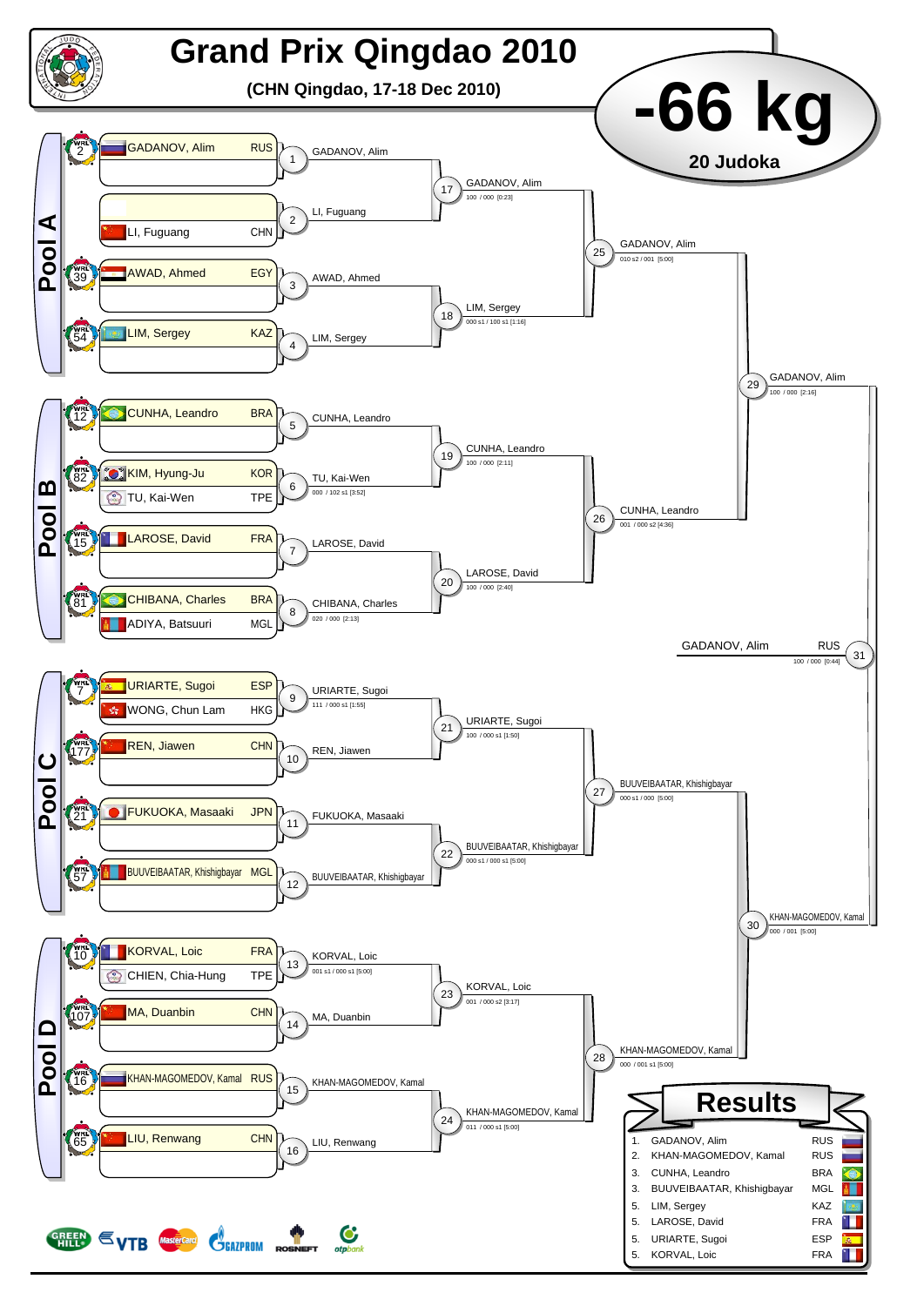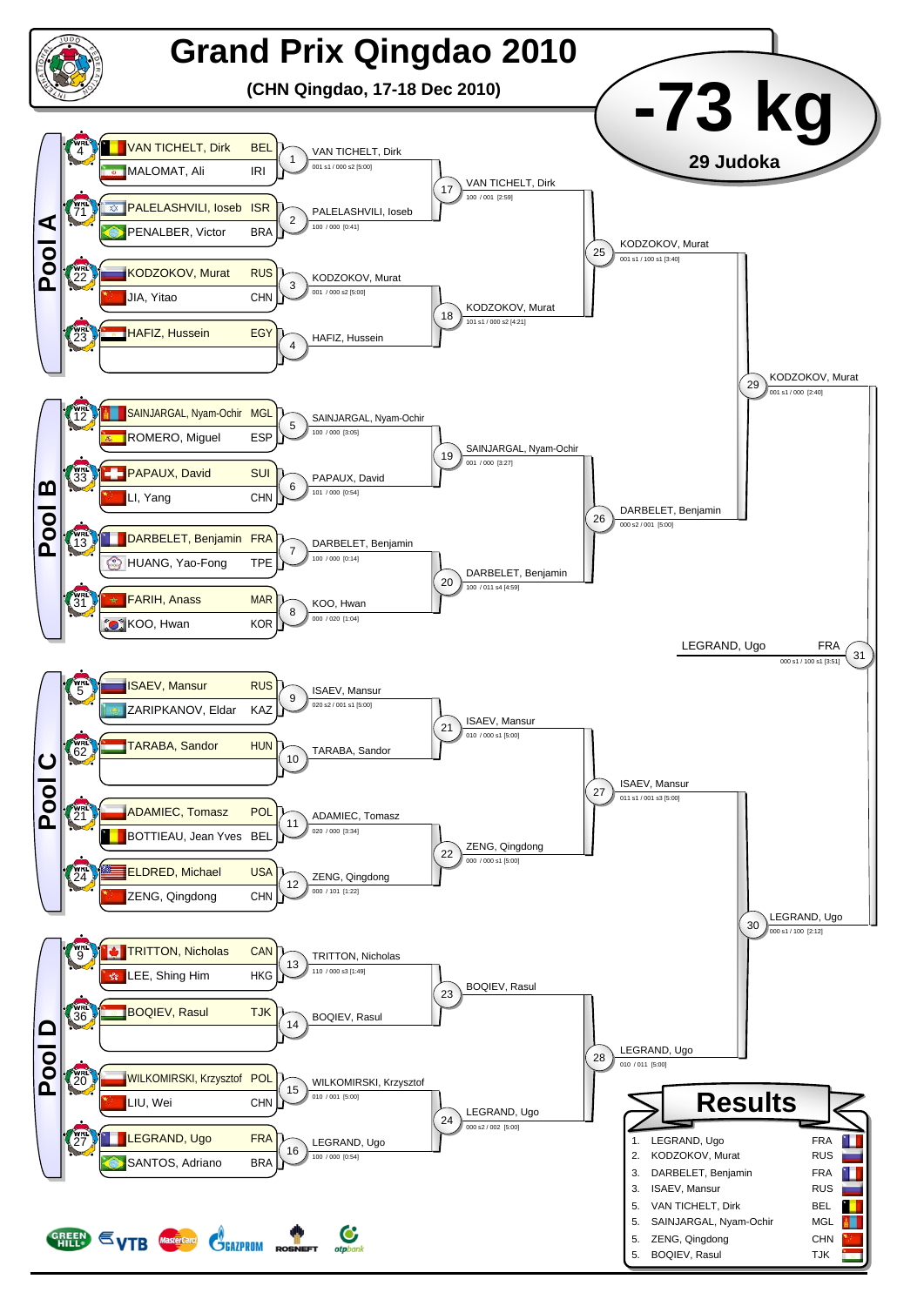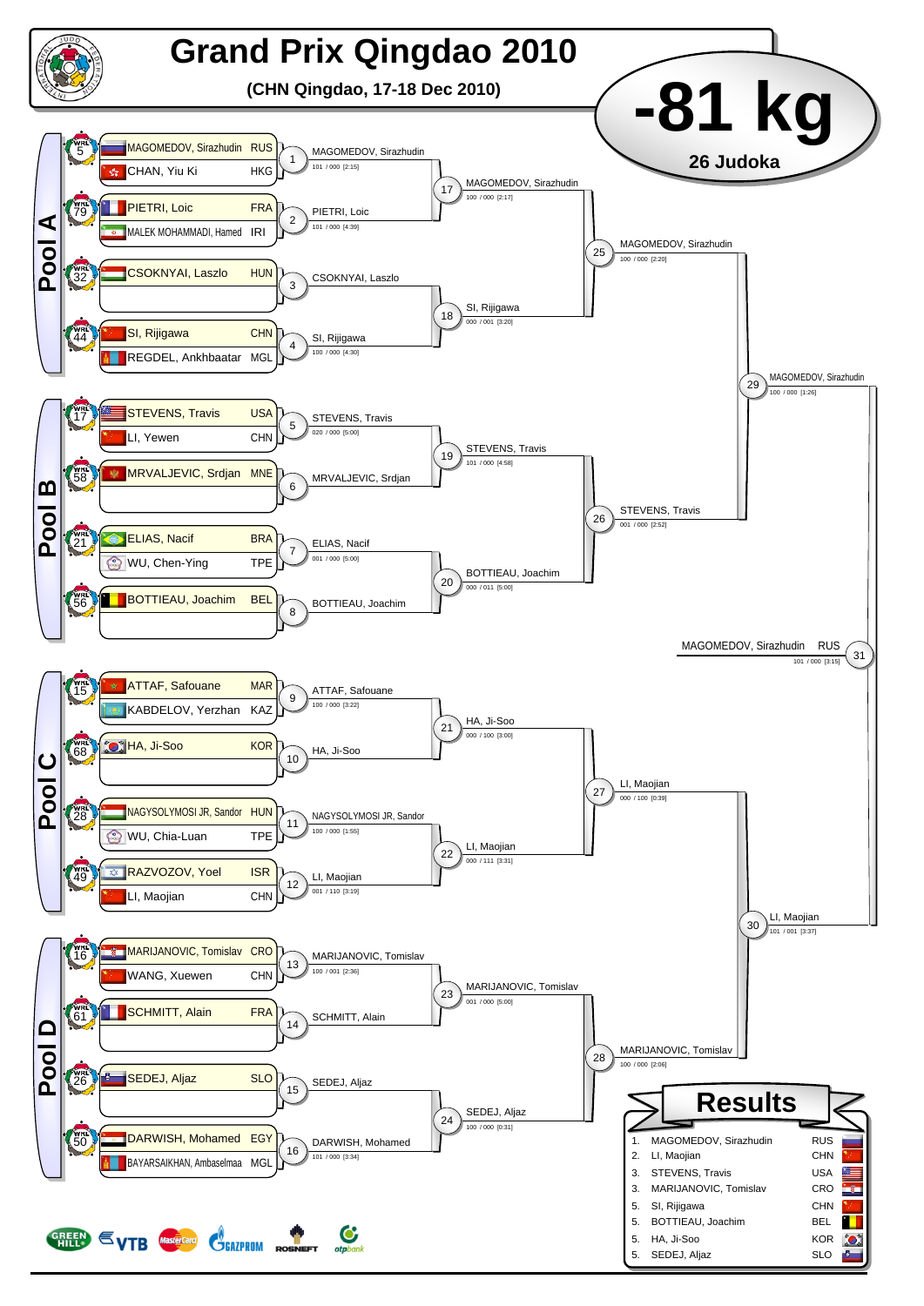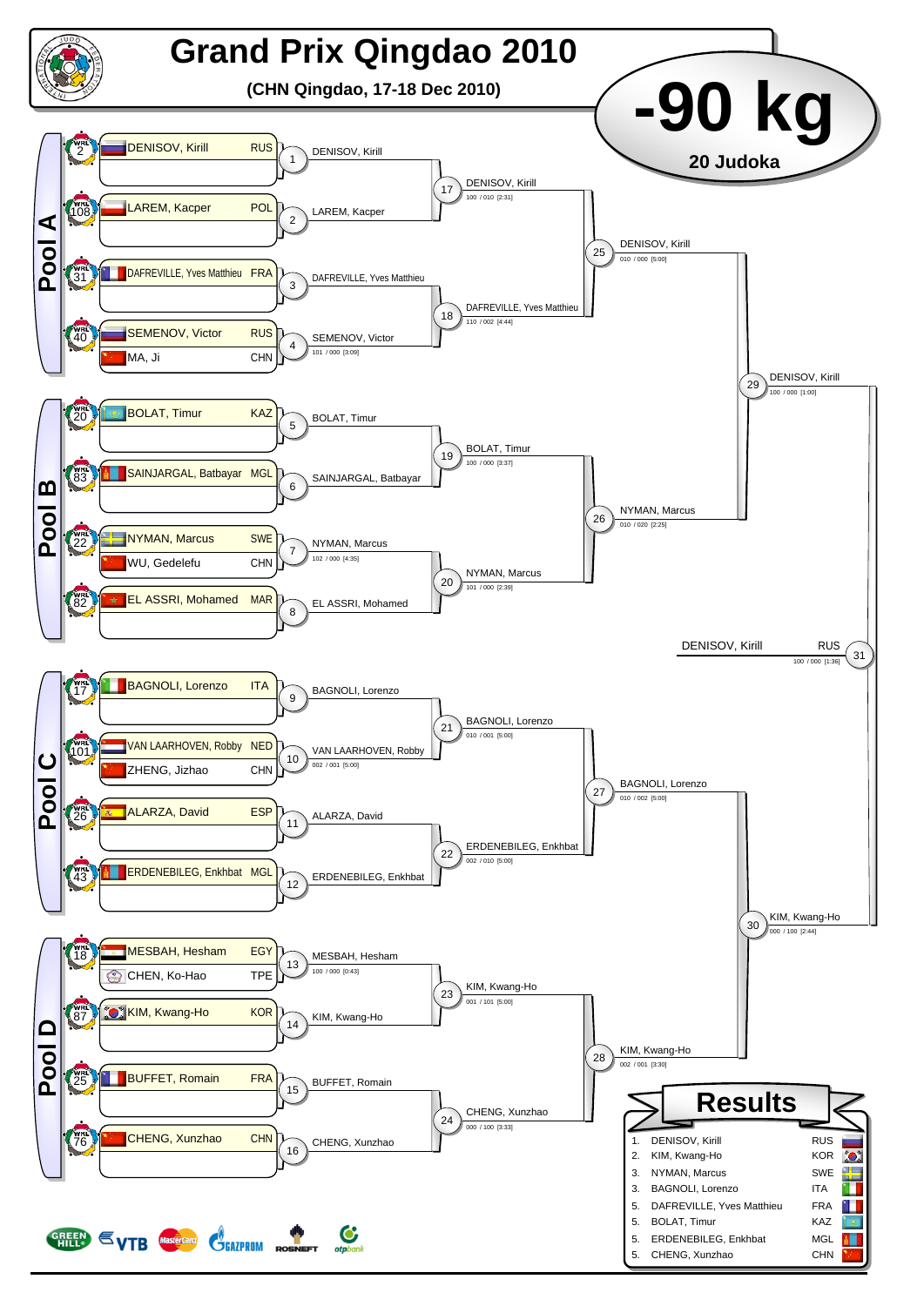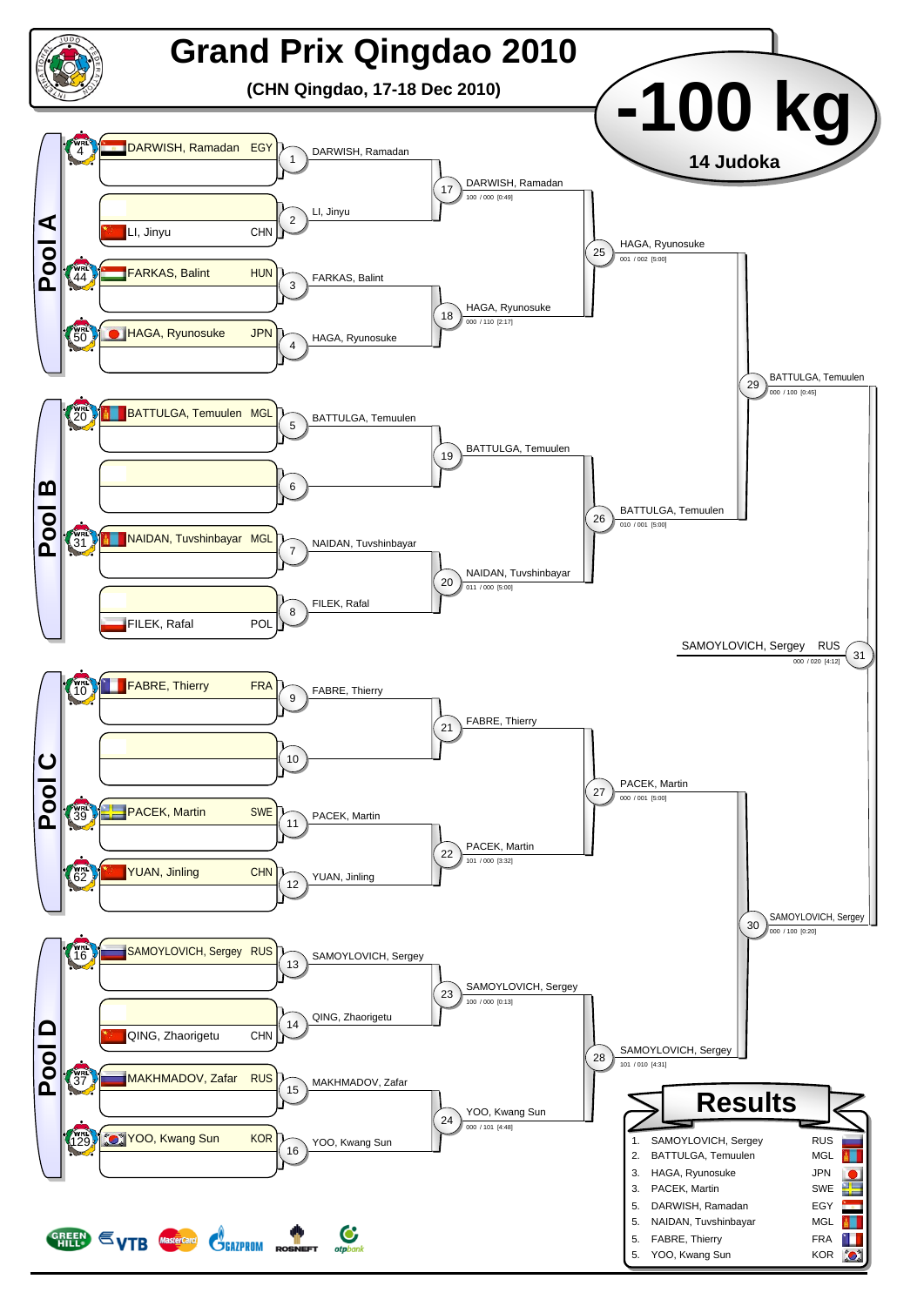